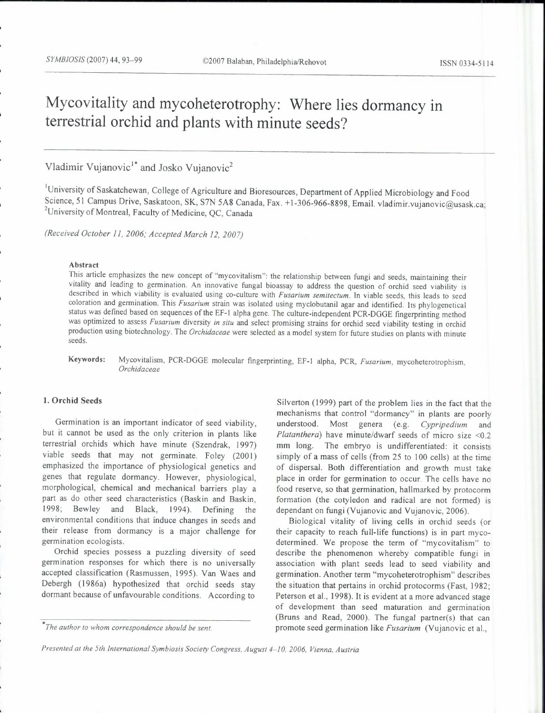# **Mycovitality and mycoheterotrophy: Where lies dormancy in terrestrial orchid and plants with minute seeds?**

Vladimir Vujanovic<sup>1\*</sup> and Josko Vujanovic<sup>2</sup>

'University of Saskatchewan, College of Agriculture and Bioresources, Department of Applied Microbiology and Food Science, 51 Campus Drive, Saskatoon, SK, S7N 5A8 Canada, Fax. +1-306-966-8898, Email. vladimir.vujanovic@usask.ca; <sup>2</sup>University of Montreal, Faculty of Medicine, QC, Canada

*(Received October 11, 2006; Accepted March 12, 2007)* 

#### Abstract

This article emphasizes the new concept of "mycovitalism": the relationship between fungi and seeds, maintaining their vitality and leading to germination. An innovative fungal bioassay to address the question of orchid seed viability is described in which viability is evaluated using co-culture with *Fusarium semitectum.* In viable seeds, this leads to seed coloration and germination. This *Fusarium* strain was isolated using myclobutanil agar and identified. Its phylogenetical status was defined based on sequences of the EF-1 alpha gene. The culture-independent PCR-DGGE fingerprinting method was optimized to assess *Fusarium* diversity *in situ* and select promising strains for orchid seed viability testing in orchid production using biotechnology. The *Orchidaceae* were selected as a model system for future studies on plants with minute seeds.

Keywords: Mycovitalism, PCR-DGGE molecular fingerprinting, EF-1 alpha, PCR, *Fusarium,* mycoheterotrophism, *Orchidaceae* 

## **1. Orchid** Seeds

Germination is an important indicator of seed viability, but it cannot be used as the only criterion in plants like terrestrial orchids which have minute (Szendrak, 1997) viable seeds that may not germinate. Foley (2001) emphasized the importance of physiological genetics and genes that regulate dormancy. However, physiological, morphological, chemical and mechanical barriers play a part as do other seed characteristics (Baskin and Baskin, 1998; Bewley and Black, 1994). Defining the environmental conditions that induce changes in seeds and their release from dormancy is a major challenge for germination ecologists.

Orchid species possess a puzzling diversity of seed germination responses for which there is no universally accepted classification (Rasmussen, 1995). Van Waes and Debergh (1986a) hypothesized that orchid seeds stay dormant because of unfavourable conditions. According to

Silverton (1999) part of the problem lies in the fact that the mechanisms that control "dormancy" in plants are poorly understood. Most genera (e.g. Cypripedium and *Platanthera)* have minute/dwarf seeds of micro size <0.2 mm long. The embryo is undifferentiated: it consists simply of a mass of cells (from 25 to 100 cells) at the time of dispersal. Both differentiation and growth must take place in order for germination to occur. The cells have no food reserve, so that germination, hallmarked by protocorm formation (the cotyledon and radical are not formed) is dependant on fungi (Vujanovic and Vujanovic, 2006).

Biological vitality of living cells in orchid seeds ( or their capacity to reach full-life functions) is in part mycodetermined. We propose the term of "mycovitalism" to describe the phenomenon whereby compatible fungi in association with plant seeds lead to seed viability and germination. Another term "mycoheterotrophism" describes the situation that pertains in orchid protocorms (Fast, 1982; Peterson et al., 1998). It is evident at a more advanced stage of development than seed maturation and germination (Bruns and Read, 2000). The fungal partner(s) that can promote seed germination like *Fusarium* (Vujanovic et al.,

*<sup>\*</sup>rhe author to whom correspondence should be sent.* 

*Presented at the 5th international Symbiosis Society Congress, August 4-10, 2006, Vienna, Austria*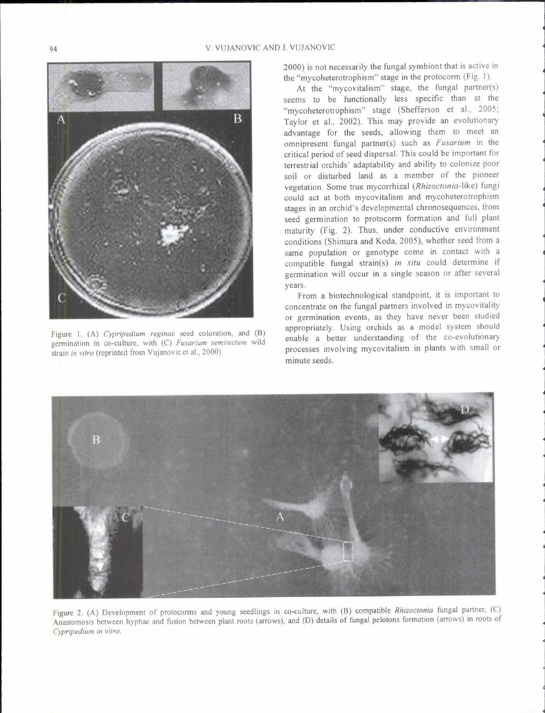

Figure I. (A) *Cypripedium reginae* seed coloration, and (B) germination in co-culture, with (C) *Fusarium semitectum* wild strain *in vitro* (reprinted from Vujanovic et al., 2000).

2000) is not necessarily the fungal symbiont that is active in the "mycoheterotrophism" stage in the protocorm (Fig. I).

At the "mycovitalism" stage, the fungal partner(s) seems to be functionally less specific than at the "mycoheterotrophism" stage (Shefferson et al., 2005; Taylor et al., 2002). This may provide an evolutionary advantage for the seeds, allowing them to meet an omnipresent fungal partner(s) such as *Fusarium* in the critical period of seed dispersal. This could be important for terrestrial orchids' adaptability and ability to colonize poor soil or disturbed land as a member of the pioneer vegetation. Some true mycorrhizal *(Rhizoctonia-like)* fungi could act at both mycovitalism and mycoheterotrophism stages in an orchid's developmental chronosequences, from seed germination to protocorm formation and full plant maturity (Fig. 2). Thus, under conductive environment conditions (Shimura and Koda, 2005), whether seed from a same population or genotype come in contact with a compatible fungal strain(s) *in situ* could determine if germination will occur in a single season or after several years.

From a biotechnological standpoint, it is important to concentrate on the fungal partners involved in mycovitality or germination events, as they have never been studied appropriately. Using orchids as a model system should enable a better understanding of the co-evolutionary processes involving mycovitalism in plants with small or minute seeds.



Figure 2. (A) Development of protocorms and young seedlings in co-culture, with (B) compatible *Rhizoctonia* fungal partner, (C) Anastomosis between hyphae and fusion between plant roots (arrows), and (D) details of fungal pelotons formation (arrows) in roots of *Cypripedium in vitro.*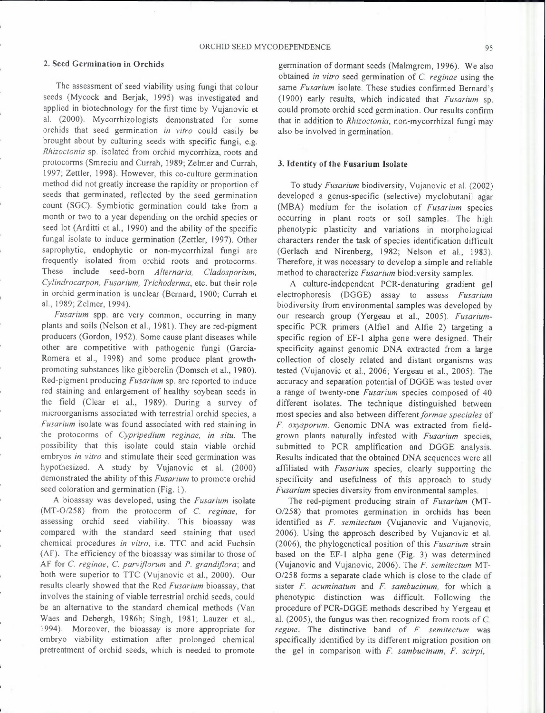## 2. Seed Germination in Orchids

The assessment of seed viability using fungi that colour seeds (Mycock and Berjak, 1995) was investigated and applied in biotechnology for the first time by Vujanovic et al. (2000). Mycorrhizologists demonstrated for some orchids that seed germination *in vitro* could easily be brought about by culturing seeds with specific fungi, e.g. *Rhizoctonia* sp. isolated from orchid mycorrhiza, roots and protocorms (Smreciu and Currah, 1989; Zelmer and Currah, 1997; Zettler, 1998). However, this co-culture germination method did not greatly increase the rapidity or proportion of seeds that germinated, reflected by the seed germination count (SGC). Symbiotic germination could take from a month or two to a year depending on the orchid species or seed lot (Arditti et al., 1990) and the ability of the specific fungal isolate to induce germination (Zettler, 1997). Other saprophytic, endophytic or non-mycorrhizal fungi are frequently isolated from orchid roots and protocorms. These include seed-born *Alternaria, Cladosporium, Cylindrocarpon, Fusarium, Trichoderma,* etc. but their role in orchid germination is unclear (Bernard, 1900; Currah et al., 1989; Zelmer, 1994).

*Fusarium* spp. are very common, occurring in many plants and soils (Nelson et al., 1981). They are red-pigment producers (Gordon, 1952). Some cause plant diseases while other are competitive with pathogenic fungi (Garcia-Romera et al., 1998) and some produce plant growthpromoting substances like gibberelin (Domsch et al., 1980). Red-pigment producing *Fusarium* sp. are reported to induce red staining and enlargement of healthy soybean seeds in the field (Clear et al., 1989). During a survey of microorganisms associated with terrestrial orchid species, a *Fusarium* isolate was found associated with red staining in the protocorms of *Cypripedium reginae, in situ.* The possibility that this isolate could stain viable orchid embryos *in vitro* and stimulate their seed germination was hypothesized. A study by Vujanovic et al. (2000) demonstrated the ability of this *Fusarium* to promote orchid seed coloration and germination (Fig. 1).

A bioassay was developed, using the *Fusarium* isolate (MT-0/258) from the protocorm of C. *reginae,* for assessing orchid seed viability. This bioassay was compared with the standard seed staining that used chemical procedures *in vitro,* i.e. ITC and acid Fuchsin (AF). The efficiency of the bioassay was similar to those of AF for C. *reginae,* C. *parviflorum* and *P. grandiflora;* and both were superior to TTC (Vujanovic et al., 2000). Our results clearly showed that the Red *Fusarium* bioassay, that involves the staining of viable terrestrial orchid seeds, could be an alternative to the standard chemical methods (Van Waes and Debergh, 1986b; Singh, 1981; Lauzer et al., 1994). Moreover, the bioassay is more appropriate for embryo viability estimation after prolonged chemical pretreatment of orchid seeds, which is needed to promote

germination of dormant seeds (Malmgrem, 1996). We also obtained *in vitro* seed germination of C. *reginae* using the same *Fusarium* isolate. These studies confirmed Bernard's (1900) early results, which indicated that *Fusarium* sp. could promote orchid seed germination. Our results confirm that in addition to *Rhizoctonia,* non-mycorrhizal fungi may also be involved in germination.

#### 3. Identity of the Fusarium Isolate

To study *Fusarium* biodiversity, Vujanovic et al. (2002) developed a genus-specific (selective) myclobutanil agar (MBA) medium for the isolation of *Fusarium* species occurring in plant roots or soil samples. The high phenotypic plasticity and variations in morphological characters render the task of species identification difficult (Gerlach and Nirenberg, 1982; Nelson et al., 1983). Therefore, it was necessary to develop a simple and reliable method to characterize *Fusarium* biodiversity samples.

A culture-independent PCR-denaturing gradient gel electrophoresis (DGGE) assay to assess *Fusarium*  biodiversity from environmental samples was developed by our research group (Yergeau et al., 2005). *Fusarium*specific PCR primers (Alfiel and Alfie 2) targeting a specific region of EF-1 alpha gene were designed. Their specificity against genomic DNA extracted from a large collection of closely related and distant organisms was tested (Vujanovic et al., 2006; Yergeau et al., 2005). The accuracy and separation potential of DGGE was tested over a range of twenty-one *Fusarium* species composed of 40 different isolates. The technique distinguished between most species and also between different formae speciales of *F. oxysporum.* Genomic DNA was extracted from fieldgrown plants naturally infested with *Fusarium* species, submitted to PCR amplification and DGGE analysis. Results indicated that the obtained DNA sequences were all affiliated with *Fusarium* species, clearly supporting the specificity and usefulness of this approach to study *Fusarium* species diversity from environmental samples.

The red-pigment producing strain of *Fusarium* (MT-0/258) that promotes germination in orchids has been identified as *F. semitectum* (Vujanovic and Vujanovic, 2006). Using the approach described by Vujanovic et al. (2006), the phylogenetical position of this *Fusarium* strain based on the EF-1 alpha gene (Fig. 3) was determined (Vujanovic and Vujanovic, 2006). The *F. semitectum* MT-0/258 forms a separate clade which is close to the clade of sister *F. acuminatum* and *F. sambucinum,* for which a phenotypic distinction was difficult. Following the procedure of PCR-DGGE methods described by Yergeau et al. (2005), the fungus was then recognized from roots of C. *regine.* The distinctive band of *F. semitectum* was specifically identified by its different migration position on the gel in comparison with *F. sambucinum, F. scirpi,*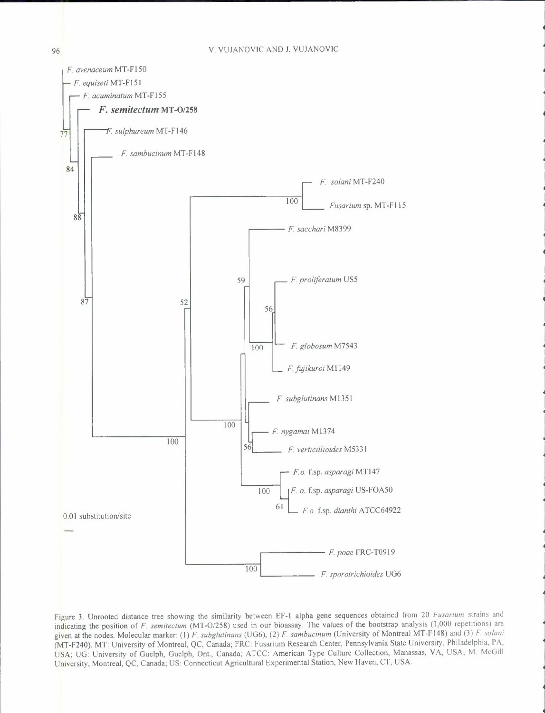

Figure 3. Unrooted distance tree showing the similarity between EF-1 alpha gene sequences obtained from 20 *Fusarium* strains and indicating the position of *F. semitectum* (MT-0/258) used in our bioassay. The values of the bootstrap analysis (1,000 repetitions) are given at the nodes. Molecular marker: (I) *F. subglutinans* (UG6), (2) *F. sambucinum* (University of Montreal MT-F 148) and (3) *F. solani*  (MT-F240). MT: University of Montreal, QC, Canada; FRC: Fusarium Research Center, Pennsylvania State University, Philadelphia, PA, USA; UG: University of Guelph, Guelph, Ont., Canada; ATCC: American Type Culture Collection, Manassas, VA, USA; M: McGill University, Montreal, QC, Canada; US: Connecticut Agricultural Experimental Station, New Haven, CT, USA.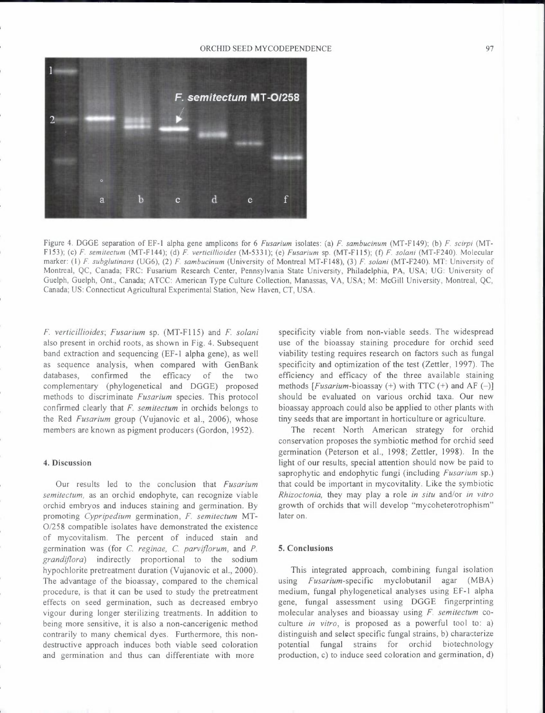ORCHID SEED MYCODEPENDENCE 97



Figure 4. DGGE separation of EF-1 alpha gene amplicons for 6 *Fusarium* isolates: (a) *F. sambucinurn* (MT-Fl49); (b) *F. scirpi* (MT-Fl53); (c) *F. sernitecturn* (MT-Fl44); (d) *F. verticillioides* (M-5331); (e) *Fusarium* sp. (MT-Fl 15); (f) *F. solani* (MT-F240). Molecular marker:(!) *F. subglutinans* (UG6), (2) *F. sambucinurn* (University of Montreal MT-Fl48), (3) *F. solani* (MT-F240). MT: University of Montreal, QC, Canada; FRC: Fusarium Research Center, Pennsylvania State University, Philadelphia, PA, USA; UG: University of Guelph, Guelph, Ont., Canada; ATCC: American Type Culture Collection, Manassas, VA, USA; M: McGill University, Montreal, QC, Canada; US: Connecticut Agricultural Experimental Station, New Haven, CT, USA.

*F. verticillioides; Fusarium* sp. (MT-Fl 15) and *F. solani*  also present in orchid roots, as shown in Fig. 4. Subsequent band extraction and sequencing (EF-1 alpha gene), as well as sequence analysis, when compared with GenBank databases, confirmed the efficacy of the two complementary (phylogenetical and DGGE) proposed methods to discriminate *Fusarium* species. This protocol confirmed clearly that *F. semitectum* in orchids belongs to the Red *Fusarium* group (Vujanovic et al., 2006), whose members are known as pigment producers (Gordon, 1952).

## **4. Discussion**

Our results led to the conclusion that *Fusarium semitectum,* as an orchid endophyte, can recognize viable orchid embryos and induces staining and germination. By promoting *Cypripedium* germination, *F. semitectum* MT-0/258 compatible isolates have demonstrated the existence of mycovitalism. The percent of induced stain and germination was (for C. *reginae,* C. *parviflorum,* and *P. grandiflora)* indirectly proportional to the sodium hypochlorite pretreatment duration (Vujanovic et al., 2000). The advantage of the bioassay, compared to the chemical procedure, is that it can be used to study the pretreatment effects on seed germination, such as decreased embryo vigour during longer sterilizing treatments. In addition to being more sensitive, it is also a non-cancerigenic method contrarily to many chemical dyes. Furthermore, this nondestructive approach induces both viable seed coloration and germination and thus can differentiate with more

specificity viable from non-viable seeds. The widespread use of the bioassay staining procedure for orchid seed viability testing requires research on factors such as fungal specificity and optimization of the test (Zettler, 1997). The efficiency and efficacy of the three available staining methods  $[Fusarium-bioassay (+) with TTC (+) and AF (-)]$ should be evaluated on various orchid taxa. Our new bioassay approach could also be applied to other plants with tiny seeds that are important in horticulture or agriculture.

The recent North American strategy for orchid conservation proposes the symbiotic method for orchid seed germination (Peterson et al., 1998; Zettler, 1998). In the light of our results, special attention should now be paid to saprophytic and endophytic fungi (including *Fusarium* sp.) that could be important in mycovitality. Like the symbiotic *Rhizoctonia,* they may play a role *in situ* and/or *in vitro*  growth of orchids that will develop "mycoheterotrophism" later on.

## **5. Conclusions**

This integrated approach, combining fungal isolation using *Fusarium-specific* myclobutanil agar (MBA) medium, fungal phylogenetical analyses using EF-1 alpha gene, fungal assessment using DGGE fingerprinting molecular analyses and bioassay using *F. semitectum* coculture *in vitro,* is proposed as a powerful tool to: a) distinguish and select specific fungal strains, b) characterize potential fungal strains for orchid biotechnology production, c) to induce seed coloration and germination, d)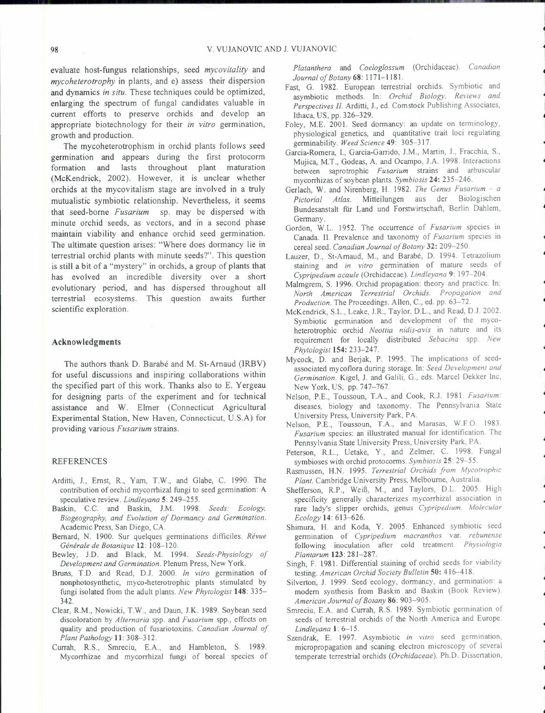evaluate host-fungus relationships, seed *mycovitality* and *mycoheterotrophy* in plants, and e) assess their dispersion and dynamics *in situ.* These techniques could be optimized, enlarging the spectrum of fungal candidates valuable in current efforts to preserve orchids and develop an appropriate biotechnology for their *in vitro* germination, growth and production.

The mycoheterotrophism in orchid plants follows seed germination and appears during the first protocorm formation and lasts throughout plant maturation (McKendrick, 2002). However, it is unclear whether orchids at the mycovitalism stage are involved in a truly mutualistic symbiotic relationship. Nevertheless, it seems that seed-borne *Fusarium* sp. may be dispersed with minute orchid seeds, as vectors, and in a second phase maintain viability and enhance orchid seed germination. The ultimate question arises: "Where does dormancy lie in terrestrial orchid plants with minute seeds?". This question is still a bit of a "mystery" in orchids, a group of plants that has evolved an incredible diversity over a short evolutionary period, and has dispersed throughout all terrestrial ecosystems. This question awaits further scientific exploration.

## **Acknowledgments**

The authors thank D. Barabé and M. St-Arnaud (IRBV) for useful discussions and inspiring collaborations within the specified part of this work. Thanks also to E. Y ergeau for designing parts of the experiment and for technical assistance and W. Elmer (Connecticut Agricultural Experimental Station, New Haven, Connecticut, U.S.A) for providing various *Fusarium* strains.

#### REFERENCES

- Arditti, J., Ernst, R., Yam, T.W., and Glabe, C. 1990. The contribution of orchid mycorrhizal fungi to seed germination: A speculative review. *Lindleyana* 5: 249-255.
- Baskin, C.C. and Baskin, J.M. 1998. *Seeds: Ecology, Biogeography, and Evolution of Dormancy and Germination.*  Academic Press, San Diego, CA.
- Bernard, N. 1900. Sur quelques germinations difficiles. *Revue Generate de Botanique* **12:** 108-120.
- Bewley, J.D. and Black, M. 1994. *Seeds-Physiology of Development and Germination.* Plenum Press, New York.
- Bruns, T.D. and Read, D.J. 2000. *In vitro* germination of nonphotosynthetic, myco-heterotrophic plants stimulated by fungi isolated from the adult plants. *New Phytologist* **148:** 335- 342.
- Clear, R.M., Nowicki, T.W., and Daun, J.K. 1989. Soybean seed discoloration by *Alternaria* spp. and *Fusarium* spp., effects on quality and production of fusariotoxins. *Canadian Journal of*
- *Plant Pathology* **11**: 308-312.<br>Currah, R.S., Smreciu, E.A., and Hambleton, S. 1989. Mycorrhizae and mycorrhizal fungi of boreal species of

*Platanthera* and *Coeloglossum* (Orchidaceae). *Canadian Journal of Botany* 68: 1171-1181.

- Fast, G. 1982. European terrestrial orchids. Symbiotic and asymbiotic methods. In: *Orchid Biology, Reviews and Perspectives JI.* Arditti, J., ed. Comstock Publishing Associates, Ithaca, US, pp. 326-329.
- Foley, M.E. 2001. Seed dormancy: an update on terminology, physiological genetics, and quantitative trait loci regulating germinability. *Weed Science* 49: 305-317.
- Garcia-Romera, I., Garcia-Garrido, J.M., Martin, J., Fracchia, S., Mujica, M.T., Godeas, A. and Ocampo, J.A. 1998. Interactions between saprotrophic *Fusarium* strains and arbuscular mycorrhizas of soybean plants. *Symbiosis* 24: 235-246.
- Gerlach, W. and Nirenberg, H. 1982. *The Genus Fusarium a Pictorial Atlas.* Mitteilungen aus der Biologischen Bundesanstalt fiir Land und Forstwirtschaft, Berlin Dahlem, Germany.
- Gordon, W.L. 1952. The occurrence of *Fusarium* species in Canada. II. Prevalence and taxonomy of *Fusarium* species in cereal seed. *Canadian Journal of Botany* 32: 209-250.
- Lauzer, D., St-Arnaud, M., and Barabé, D. 1994. Tetrazolium staining and *in vitro* germination of mature seeds of Cypripedium acaule (Orchidaceae). Lindleyana 9: 197–204.
- *Malmgrem, S. 1996. Orchid propagation: theory and practice. In: North American Terrestrial Orchids: Propagation and Production.* The Proceedings. Allen, C., ed. pp. 63–72.
- McKendrick, S.L., Leake, J.R., Taylor, D.L., and Read, D.J. 2002. Symbiotic germination and development of the mycoheterotrophic orchid *Neottia nidis-avis* in nature and its requirement for locally distributed *Sebacina* spp. *New*
- *Phytologist* **154:** 233-247. Mycock, D. and Berjak, P. 1995. The implications of seedassociated mycotlora during storage. In: *Seed Development and Germination.* Kigel, J. and Galili, G., eds. Marcel Dekker Inc, New York, US, pp. 747-767.
- Nelson, P.E., Toussoun, T.A., and Cook, R.J. 1981. *Fusarium:*  diseases, biology and taxonomy. The Pennsylvania State University Press, University Park, PA. Nelson, P.E., Toussoun, T.A., and Marasas, W.F.O. 1983.
- *Fusarium* species: an illustrated manual for identification. The Pennsylvania State University Press, University Park, PA.
- Peterson, R.L., Uetake, Y., and Zelmer, C. 1998. Fungal symbioses with orchid protocorms. *Symbiosis* 25: 29-55.
- Rasmussen, H.N. 1995. *Terrestrial Orchids from Mycotrophic Plant.* Cambridge University Press, Melbourne, Australia.
- Shefferson, R.P., Weiß, M., and Taylors, D.L. 2005. High specificity generally characterizes mycorrhizal association in rare lady's slipper orchids, genus *Cypripedium. Molecular Ecology* **14:** 613-626.
- Shimura, H. and Koda, Y. 2005. Enhanced symbiotic seed germination of *Cypripedium macranthos* var. *rebunense*  following inoculation after cold treatment. *Physiologia Plantarum* 123: 281-287.
- Singh, F. 1981. Differential staining of orchid seeds for viability testing. *American Orchid Society Bulletin* 50: 416-418.
- Silverton, J. 1999. Seed ecology, dormancy, and germination: a modem synthesis from Baskin and Baskin (Book Review). *American Journal of Botany* 86: 903-905.
- Smreciu, E.A. and Currah, R.S. 1989. Symbiotic germination of seeds of terrestrial orchids of the North America and Europe. *Lindleyana* **1:** 6-15.
- Szendrak, E. 1997. Asymbiotic *in vitro* seed germination, micropropagation and scaning electron microscopy of several temperate terrestrial orchids ( *Orchidaceae ).* Ph.D. Dissertation,